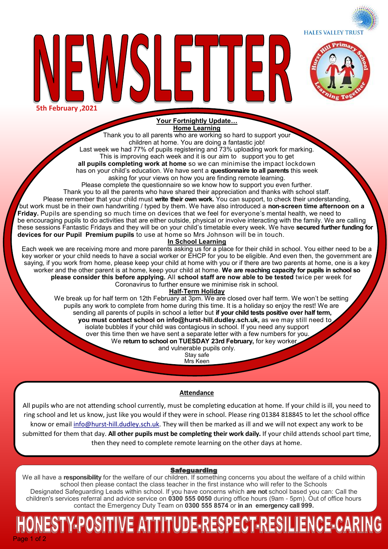**HALES VALLEY TRUST** 





**Your Fortnightly Update… Home Learning**

Thank you to all parents who are working so hard to support your children at home. You are doing a fantastic job! Last week we had 77% of pupils registering and 73% uploading work for marking. This is improving each week and it is our aim to support you to get **all pupils completing work at home** so we can minimise the impact lockdown has on your child's education. We have sent a **questionnaire to all parents** this week

asking for your views on how you are finding remote learning.

Please complete the questionnaire so we know how to support you even further.

Thank you to all the parents who have shared their appreciation and thanks with school staff. Please remember that your child must **write their own work.** You can support, to check their understanding, but work must be in their own handwriting / typed by them. We have also introduced a **non-screen time afternoon on a Friday.** Pupils are spending so much time on devices that we feel for everyone's mental health, we need to be encouraging pupils to do activities that are either outside, physical or involve interacting with the family. We are calling these sessions Fantastic Fridays and they will be on your child's timetable every week. We have **secured further funding for devices for our Pupil Premium pupils** to use at home so Mrs Johnson will be in touch.

### **In School Learning**

Each week we are receiving more and more parents asking us for a place for their child in school. You either need to be a key worker or your child needs to have a social worker or EHCP for you to be eligible. And even then, the government are saying, if you work from home, please keep your child at home with you or if there are two parents at home, one is a key worker and the other parent is at home, keep your child at home. **We are reaching capacity for pupils in school so please consider this before applying.** All **school staff are now able to be tested** twice per week for Coronavirus to further ensure we minimise risk in school.

# **Half-Term Holiday**

 We break up for half term on 12th February at 3pm. We are closed over half term. We won't be setting pupils any work to complete from home during this time. It is a holiday so enjoy the rest! We are sending all parents of pupils in school a letter but **if your child tests positive over half term, you must contact school on info@hurst-hill.dudley.sch.uk,** as we may still need to isolate bubbles if your child was contagious in school. If you need any support over this time then we have sent a separate letter with a few numbers for you. We return to school on TUESDAY 23rd February, for key worker

and vulnerable pupils only.

Stay safe Mrs Keen

# **Attendance**

All pupils who are not attending school currently, must be completing education at home. If your child is ill, you need to ring school and let us know, just like you would if they were in school. Please ring 01384 818845 to let the school office know or email info@hurst-[hill.dudley.sch.uk.](mailto:info@hurst-hill.dudley.sch.uk) They will then be marked as ill and we will not expect any work to be submitted for them that day. **All other pupils must be completing their work daily.** If your child attends school part time, then they need to complete remote learning on the other days at home.

# Safeguarding

We all have a **responsibility** for the welfare of our children. If something concerns you about the welfare of a child within school then please contact the class teacher in the first instance who will refer to the Schools Designated Safeguarding Leads within school. If you have concerns which **are not** school based you can: Call the children's services referral and advice service on **0300 555 0050** during office hours (9am - 5pm). Out of office hours contact the Emergency Duty Team on **0300 555 8574** or **in an emergency call 999.** 

# Page 1 of 2